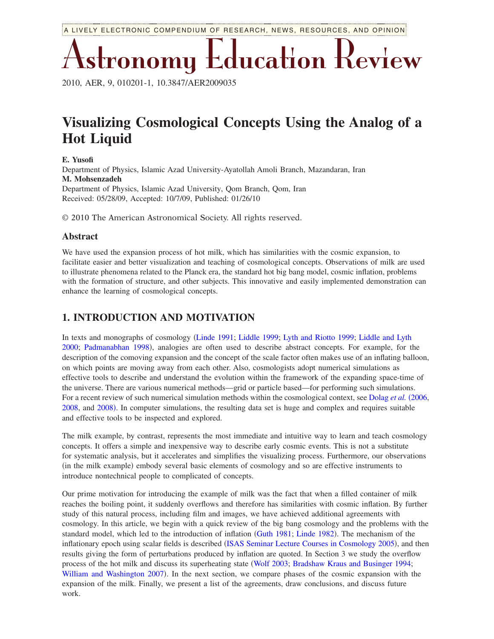Astronomy Education Review

2010, AER, 9, 010201-1, 10.3847/AER2009035

# **Visualizing Cosmological Concepts Using the Analog of a Hot Liquid**

**E. Yusofi** Department of Physics, Islamic Azad University-Ayatollah Amoli Branch, Mazandaran, Iran **M. Mohsenzadeh** Department of Physics, Islamic Azad University, Qom Branch, Qom, Iran Received: 05/28/09, Accepted: 10/7/09, Published: 01/26/10

© 2010 The American Astronomical Society. All rights reserved.

#### **Abstract**

We have used the expansion process of hot milk, which has similarities with the cosmic expansion, to facilitate easier and better visualization and teaching of cosmological concepts. Observations of milk are used to illustrate phenomena related to the Planck era, the standard hot big bang model, cosmic inflation, problems with the formation of structure, and other subjects. This innovative and easily implemented demonstration can enhance the learning of cosmological concepts.

#### **1. INTRODUCTION AND MOTIVATION**

In texts and monographs of cosmology [Linde 1991;](#page-7-0) [Liddle 1999;](#page-7-1) [Lyth and Riotto 1999;](#page-7-2) [Liddle and Lyth](#page-7-3) [2000;](#page-7-3) [Padmanabhan 1998](#page-7-4)), analogies are often used to describe abstract concepts. For example, for the description of the comoving expansion and the concept of the scale factor often makes use of an inflating balloon, on which points are moving away from each other. Also, cosmologists adopt numerical simulations as effective tools to describe and understand the evolution within the framework of the expanding space-time of the universe. There are various numerical methods—grid or particle based—for performing such simulations. For a recent review of such numerical simulation methods within the cosmological context, see [Dolag](#page-7-5) *et al.* (2006, [2008,](#page-7-6) and [2008](#page-7-7)). In computer simulations, the resulting data set is huge and complex and requires suitable and effective tools to be inspected and explored.

The milk example, by contrast, represents the most immediate and intuitive way to learn and teach cosmology concepts. It offers a simple and inexpensive way to describe early cosmic events. This is not a substitute for systematic analysis, but it accelerates and simplifies the visualizing process. Furthermore, our observations (in the milk example) embody several basic elements of cosmology and so are effective instruments to introduce nontechnical people to complicated of concepts.

Our prime motivation for introducing the example of milk was the fact that when a filled container of milk reaches the boiling point, it suddenly overflows and therefore has similarities with cosmic inflation. By further study of this natural process, including film and images, we have achieved additional agreements with cosmology. In this article, we begin with a quick review of the big bang cosmology and the problems with the standard model, which led to the introduction of inflation ([Guth 1981;](#page-7-8) [Linde 1982](#page-7-9)). The mechanism of the inflationary epoch using scalar fields is described ([ISAS Seminar Lecture Courses in Cosmology 2005](#page-7-10)), and then results giving the form of perturbations produced by inflation are quoted. In Section 3 we study the overflow process of the hot milk and discuss its superheating state [Wolf 2003;](#page-8-0) [Bradshaw Kraus and Businger 1994;](#page-7-11) [William and Washington 2007](#page-7-12)). In the next section, we compare phases of the cosmic expansion with the expansion of the milk. Finally, we present a list of the agreements, draw conclusions, and discuss future work.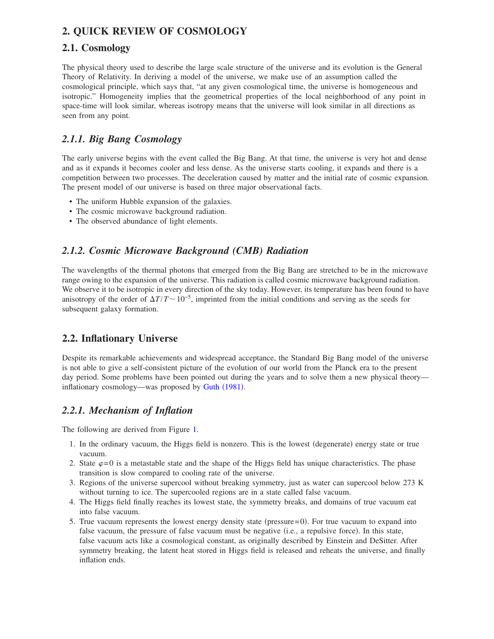## **2. QUICK REVIEW OF COSMOLOGY**

#### **2.1. Cosmology**

The physical theory used to describe the large scale structure of the universe and its evolution is the General Theory of Relativity. In deriving a model of the universe, we make use of an assumption called the cosmological principle, which says that, "at any given cosmological time, the universe is homogeneous and isotropic." Homogeneity implies that the geometrical properties of the local neighborhood of any point in space-time will look similar, whereas isotropy means that the universe will look similar in all directions as seen from any point.

#### *2.1.1. Big Bang Cosmology*

The early universe begins with the event called the Big Bang. At that time, the universe is very hot and dense and as it expands it becomes cooler and less dense. As the universe starts cooling, it expands and there is a competition between two processes. The deceleration caused by matter and the initial rate of cosmic expansion. The present model of our universe is based on three major observational facts.

- The uniform Hubble expansion of the galaxies.
- The cosmic microwave background radiation.
- The observed abundance of light elements.

## *2.1.2. Cosmic Microwave Background (CMB) Radiation*

The wavelengths of the thermal photons that emerged from the Big Bang are stretched to be in the microwave range owing to the expansion of the universe. This radiation is called cosmic microwave background radiation. We observe it to be isotropic in every direction of the sky today. However, its temperature has been found to have anisotropy of the order of  $\Delta T/T \sim 10^{-5}$ , imprinted from the initial conditions and serving as the seeds for subsequent galaxy formation.

#### **2.2. Inflationary Universe**

Despite its remarkable achievements and widespread acceptance, the Standard Big Bang model of the universe is not able to give a self-consistent picture of the evolution of our world from the Planck era to the present day period. Some problems have been pointed out during the years and to solve them a new physical theory— inflationary cosmology—was proposed by Guth ([1981](#page-7-8)).

#### *2.2.1. Mechanism of Inflation*

The following are derived from Figure [1.](#page-2-0)

- 1. In the ordinary vacuum, the Higgs field is nonzero. This is the lowest (degenerate) energy state or true vacuum.
- 2. State  $\varphi$ =0 is a metastable state and the shape of the Higgs field has unique characteristics. The phase transition is slow compared to cooling rate of the universe.
- 3. Regions of the universe supercool without breaking symmetry, just as water can supercool below 273 K without turning to ice. The supercooled regions are in a state called false vacuum.
- 4. The Higgs field finally reaches its lowest state, the symmetry breaks, and domains of true vacuum eat into false vacuum.
- 5. True vacuum represents the lowest energy density state (pressure=0). For true vacuum to expand into false vacuum, the pressure of false vacuum must be negative (i.e., a repulsive force). In this state, false vacuum acts like a cosmological constant, as originally described by Einstein and DeSitter. After symmetry breaking, the latent heat stored in Higgs field is released and reheats the universe, and finally inflation ends.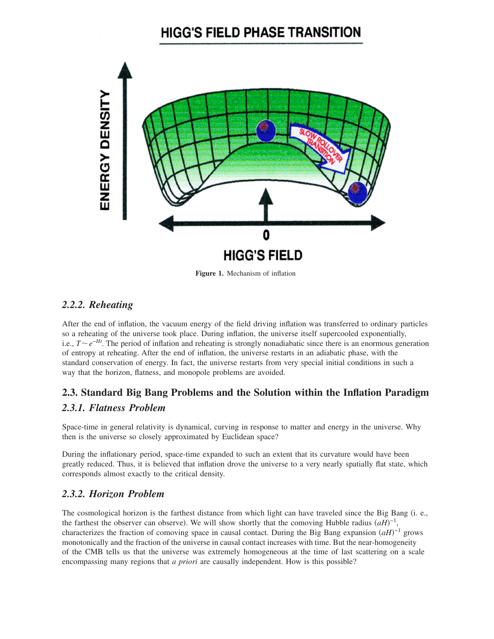# **HIGG'S FIELD PHASE TRANSITION**

<span id="page-2-0"></span>

**Figure 1.** Mechanism of inflation

#### *2.2.2. Reheating*

After the end of inflation, the vacuum energy of the field driving inflation was transferred to ordinary particles so a reheating of the universe took place. During inflation, the universe itself supercooled exponentially, i.e., *Te*−*Ht*. The period of inflation and reheating is strongly nonadiabatic since there is an enormous generation of entropy at reheating. After the end of inflation, the universe restarts in an adiabatic phase, with the standard conservation of energy. In fact, the universe restarts from very special initial conditions in such a way that the horizon, flatness, and monopole problems are avoided.

# **2.3. Standard Big Bang Problems and the Solution within the Inflation Paradigm** *2.3.1. Flatness Problem*

Space-time in general relativity is dynamical, curving in response to matter and energy in the universe. Why then is the universe so closely approximated by Euclidean space?

During the inflationary period, space-time expanded to such an extent that its curvature would have been greatly reduced. Thus, it is believed that inflation drove the universe to a very nearly spatially flat state, which corresponds almost exactly to the critical density.

#### *2.3.2. Horizon Problem*

The cosmological horizon is the farthest distance from which light can have traveled since the Big Bang (i. e., the farthest the observer can observe). We will show shortly that the comoving Hubble radius  $(aH)^{-1}$ , characterizes the fraction of comoving space in causal contact. During the Big Bang expansion  $(aH)^{-1}$  grows monotonically and the fraction of the universe in causal contact increases with time. But the near-homogeneity of the CMB tells us that the universe was extremely homogeneous at the time of last scattering on a scale encompassing many regions that *a priori* are causally independent. How is this possible?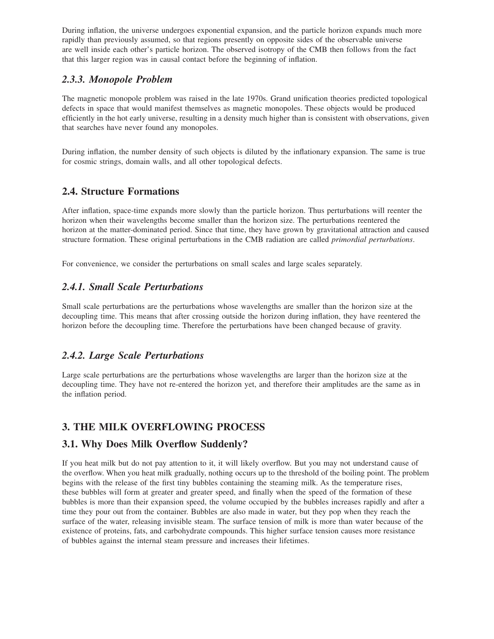During inflation, the universe undergoes exponential expansion, and the particle horizon expands much more rapidly than previously assumed, so that regions presently on opposite sides of the observable universe are well inside each other's particle horizon. The observed isotropy of the CMB then follows from the fact that this larger region was in causal contact before the beginning of inflation.

#### *2.3.3. Monopole Problem*

The magnetic monopole problem was raised in the late 1970s. Grand unification theories predicted topological defects in space that would manifest themselves as magnetic monopoles. These objects would be produced efficiently in the hot early universe, resulting in a density much higher than is consistent with observations, given that searches have never found any monopoles.

During inflation, the number density of such objects is diluted by the inflationary expansion. The same is true for cosmic strings, domain walls, and all other topological defects.

#### **2.4. Structure Formations**

After inflation, space-time expands more slowly than the particle horizon. Thus perturbations will reenter the horizon when their wavelengths become smaller than the horizon size. The perturbations reentered the horizon at the matter-dominated period. Since that time, they have grown by gravitational attraction and caused structure formation. These original perturbations in the CMB radiation are called *primordial perturbations*.

For convenience, we consider the perturbations on small scales and large scales separately.

#### *2.4.1. Small Scale Perturbations*

Small scale perturbations are the perturbations whose wavelengths are smaller than the horizon size at the decoupling time. This means that after crossing outside the horizon during inflation, they have reentered the horizon before the decoupling time. Therefore the perturbations have been changed because of gravity.

#### *2.4.2. Large Scale Perturbations*

Large scale perturbations are the perturbations whose wavelengths are larger than the horizon size at the decoupling time. They have not re-entered the horizon yet, and therefore their amplitudes are the same as in the inflation period.

#### **3. THE MILK OVERFLOWING PROCESS**

#### **3.1. Why Does Milk Overflow Suddenly?**

If you heat milk but do not pay attention to it, it will likely overflow. But you may not understand cause of the overflow. When you heat milk gradually, nothing occurs up to the threshold of the boiling point. The problem begins with the release of the first tiny bubbles containing the steaming milk. As the temperature rises, these bubbles will form at greater and greater speed, and finally when the speed of the formation of these bubbles is more than their expansion speed, the volume occupied by the bubbles increases rapidly and after a time they pour out from the container. Bubbles are also made in water, but they pop when they reach the surface of the water, releasing invisible steam. The surface tension of milk is more than water because of the existence of proteins, fats, and carbohydrate compounds. This higher surface tension causes more resistance of bubbles against the internal steam pressure and increases their lifetimes.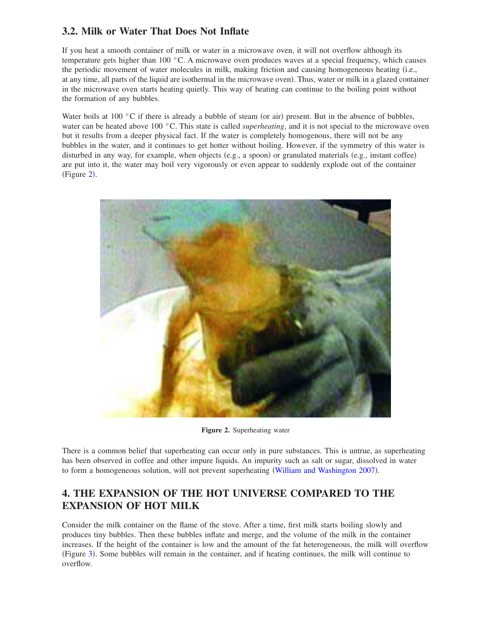## **3.2. Milk or Water That Does Not Inflate**

If you heat a smooth container of milk or water in a microwave oven, it will not overflow although its temperature gets higher than 100 °C. A microwave oven produces waves at a special frequency, which causes the periodic movement of water molecules in milk, making friction and causing homogeneous heating i.e., at any time, all parts of the liquid are isothermal in the microwave oven). Thus, water or milk in a glazed container in the microwave oven starts heating quietly. This way of heating can continue to the boiling point without the formation of any bubbles.

Water boils at 100  $\degree$ C if there is already a bubble of steam (or air) present. But in the absence of bubbles, water can be heated above 100 °C. This state is called *superheating*, and it is not special to the microwave oven but it results from a deeper physical fact. If the water is completely homogenous, there will not be any bubbles in the water, and it continues to get hotter without boiling. However, if the symmetry of this water is disturbed in any way, for example, when objects (e.g., a spoon) or granulated materials (e.g., instant coffee) are put into it, the water may boil very vigorously or even appear to suddenly explode out of the container  $(Figure 2)$  $(Figure 2)$  $(Figure 2)$ .

<span id="page-4-0"></span>

**Figure 2.** Superheating water

There is a common belief that superheating can occur only in pure substances. This is untrue, as superheating has been observed in coffee and other impure liquids. An impurity such as salt or sugar, dissolved in water to form a homogeneous solution, will not prevent superheating ([William and Washington 2007](#page-7-12)).

# **4. THE EXPANSION OF THE HOT UNIVERSE COMPARED TO THE EXPANSION OF HOT MILK**

Consider the milk container on the flame of the stove. After a time, first milk starts boiling slowly and produces tiny bubbles. Then these bubbles inflate and merge, and the volume of the milk in the container increases. If the height of the container is low and the amount of the fat heterogeneous, the milk will overflow (Figure [3](#page-5-0)). Some bubbles will remain in the container, and if heating continues, the milk will continue to overflow.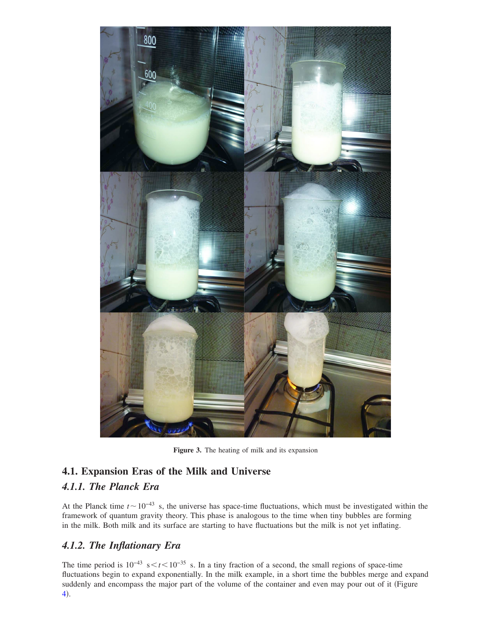<span id="page-5-0"></span>

**Figure 3.** The heating of milk and its expansion

# **4.1. Expansion Eras of the Milk and Universe** *4.1.1. The Planck Era*

At the Planck time  $t \sim 10^{-43}$  s, the universe has space-time fluctuations, which must be investigated within the framework of quantum gravity theory. This phase is analogous to the time when tiny bubbles are forming in the milk. Both milk and its surface are starting to have fluctuations but the milk is not yet inflating.

## *4.1.2. The Inflationary Era*

The time period is  $10^{-43}$  s  $\le t \le 10^{-35}$  s. In a tiny fraction of a second, the small regions of space-time fluctuations begin to expand exponentially. In the milk example, in a short time the bubbles merge and expand suddenly and encompass the major part of the volume of the container and even may pour out of it (Figure [4](#page-6-0)).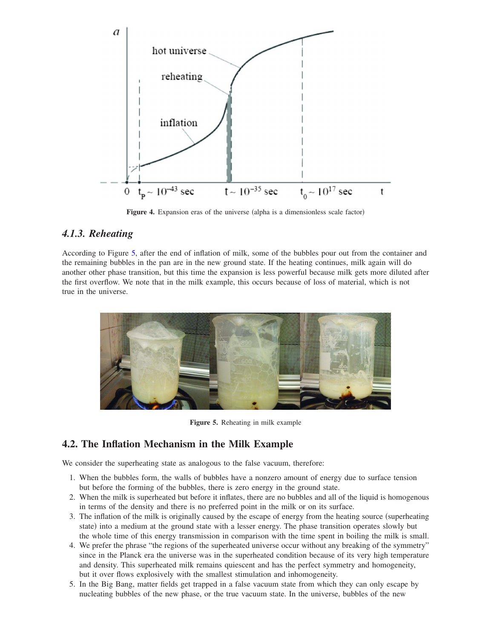<span id="page-6-0"></span>

Figure 4. Expansion eras of the universe (alpha is a dimensionless scale factor)

#### *4.1.3. Reheating*

According to Figure [5,](#page-6-1) after the end of inflation of milk, some of the bubbles pour out from the container and the remaining bubbles in the pan are in the new ground state. If the heating continues, milk again will do another other phase transition, but this time the expansion is less powerful because milk gets more diluted after the first overflow. We note that in the milk example, this occurs because of loss of material, which is not true in the universe.

<span id="page-6-1"></span>

**Figure 5.** Reheating in milk example

#### **4.2. The Inflation Mechanism in the Milk Example**

We consider the superheating state as analogous to the false vacuum, therefore:

- 1. When the bubbles form, the walls of bubbles have a nonzero amount of energy due to surface tension but before the forming of the bubbles, there is zero energy in the ground state.
- 2. When the milk is superheated but before it inflates, there are no bubbles and all of the liquid is homogenous in terms of the density and there is no preferred point in the milk or on its surface.
- 3. The inflation of the milk is originally caused by the escape of energy from the heating source (superheating state) into a medium at the ground state with a lesser energy. The phase transition operates slowly but the whole time of this energy transmission in comparison with the time spent in boiling the milk is small.
- 4. We prefer the phrase "the regions of the superheated universe occur without any breaking of the symmetry" since in the Planck era the universe was in the superheated condition because of its very high temperature and density. This superheated milk remains quiescent and has the perfect symmetry and homogeneity, but it over flows explosively with the smallest stimulation and inhomogeneity.
- 5. In the Big Bang, matter fields get trapped in a false vacuum state from which they can only escape by nucleating bubbles of the new phase, or the true vacuum state. In the universe, bubbles of the new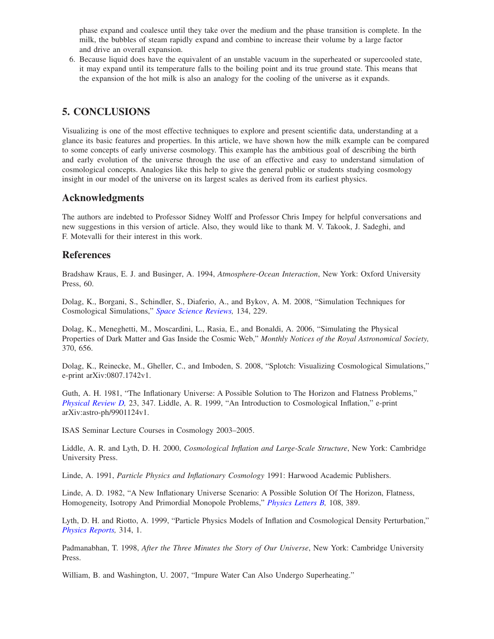phase expand and coalesce until they take over the medium and the phase transition is complete. In the milk, the bubbles of steam rapidly expand and combine to increase their volume by a large factor and drive an overall expansion.

6. Because liquid does have the equivalent of an unstable vacuum in the superheated or supercooled state, it may expand until its temperature falls to the boiling point and its true ground state. This means that the expansion of the hot milk is also an analogy for the cooling of the universe as it expands.

#### **5. CONCLUSIONS**

Visualizing is one of the most effective techniques to explore and present scientific data, understanding at a glance its basic features and properties. In this article, we have shown how the milk example can be compared to some concepts of early universe cosmology. This example has the ambitious goal of describing the birth and early evolution of the universe through the use of an effective and easy to understand simulation of cosmological concepts. Analogies like this help to give the general public or students studying cosmology insight in our model of the universe on its largest scales as derived from its earliest physics.

#### **Acknowledgments**

The authors are indebted to Professor Sidney Wolff and Professor Chris Impey for helpful conversations and new suggestions in this version of article. Also, they would like to thank M. V. Takook, J. Sadeghi, and F. Motevalli for their interest in this work.

#### **References**

<span id="page-7-11"></span>Bradshaw Kraus, E. J. and Businger, A. 1994, *Atmosphere-Ocean Interaction*, New York: Oxford University Press, 60.

<span id="page-7-6"></span>Dolag, K., Borgani, S., Schindler, S., Diaferio, A., and Bykov, A. M. 2008, "Simulation Techniques for Cosmological Simulations," *[Space Science Reviews,](http://dx.doi.org/10.1007/s11214-008-9316-5)* 134, 229.

<span id="page-7-5"></span>Dolag, K., Meneghetti, M., Moscardini, L., Rasia, E., and Bonaldi, A. 2006, "Simulating the Physical Properties of Dark Matter and Gas Inside the Cosmic Web," *Monthly Notices of the Royal Astronomical Society,* 370, 656.

<span id="page-7-7"></span>Dolag, K., Reinecke, M., Gheller, C., and Imboden, S. 2008, "Splotch: Visualizing Cosmological Simulations," e-print arXiv:0807.1742v1.

<span id="page-7-8"></span><span id="page-7-1"></span>Guth, A. H. 1981, "The Inflationary Universe: A Possible Solution to The Horizon and Flatness Problems," *[Physical Review D,](http://dx.doi.org/10.1103/PhysRevD.23.347)* 23, 347. Liddle, A. R. 1999, "An Introduction to Cosmological Inflation," e-print arXiv:astro-ph/9901124v1.

<span id="page-7-10"></span>ISAS Seminar Lecture Courses in Cosmology 2003–2005.

<span id="page-7-3"></span>Liddle, A. R. and Lyth, D. H. 2000, *Cosmological Inflation and Large-Scale Structure*, New York: Cambridge University Press.

<span id="page-7-0"></span>Linde, A. 1991, *Particle Physics and Inflationary Cosmology* 1991: Harwood Academic Publishers.

<span id="page-7-9"></span>Linde, A. D. 1982, "A New Inflationary Universe Scenario: A Possible Solution Of The Horizon, Flatness, Homogeneity, Isotropy And Primordial Monopole Problems," *[Physics Letters B,](http://dx.doi.org/10.1016/0370-2693(82)91219-9)* 108, 389.

<span id="page-7-2"></span>Lyth, D. H. and Riotto, A. 1999, "Particle Physics Models of Inflation and Cosmological Density Perturbation," *[Physics Reports,](http://dx.doi.org/10.1016/S0370-1573(98)00128-8)* 314, 1.

<span id="page-7-4"></span>Padmanabhan, T. 1998, *After the Three Minutes the Story of Our Universe*, New York: Cambridge University Press.

<span id="page-7-12"></span>William, B. and Washington, U. 2007, "Impure Water Can Also Undergo Superheating."